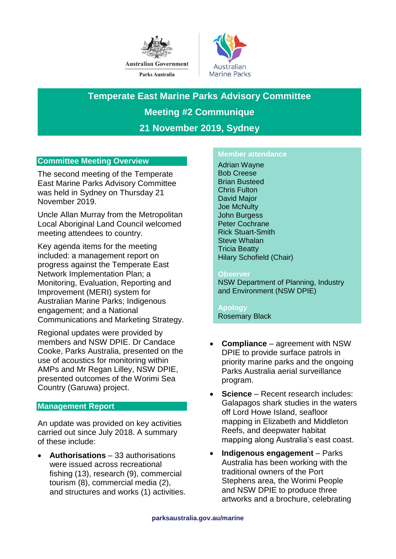



**Temperate East Marine Parks Advisory Committee Meeting #2 Communique 21 November 2019, Sydney** 

# **Committee Meeting Overview**

The second meeting of the Temperate East Marine Parks Advisory Committee was held in Sydney on Thursday 21 November 2019.

Uncle Allan Murray from the Metropolitan Local Aboriginal Land Council welcomed meeting attendees to country.

Key agenda items for the meeting included: a management report on progress against the Temperate East Network Implementation Plan; a Monitoring, Evaluation, Reporting and Improvement (MERI) system for Australian Marine Parks; Indigenous engagement; and a National Communications and Marketing Strategy.

Regional updates were provided by members and NSW DPIE. Dr Candace Cooke, Parks Australia, presented on the use of acoustics for monitoring within AMPs and Mr Regan Lilley, NSW DPIE, presented outcomes of the Worimi Sea Country (Garuwa) project.

# **Management Report**

An update was provided on key activities carried out since July 2018. A summary of these include:

 **Authorisations** – 33 authorisations were issued across recreational fishing (13), research (9), commercial tourism (8), commercial media (2), and structures and works (1) activities.

#### **Member attendance**

Adrian Wayne Bob Creese Brian Busteed Chris Fulton David Major Joe McNulty John Burgess Peter Cochrane Rick Stuart-Smith Steve Whalan Tricia Beatty Hilary Schofield (Chair)

#### **Observer**

NSW Department of Planning, Industry and Environment (NSW DPIE)

**Apology** Rosemary Black

- **Compliance**  agreement with NSW DPIE to provide surface patrols in priority marine parks and the ongoing Parks Australia aerial surveillance program.
- **Science** Recent research includes: Galapagos shark studies in the waters off Lord Howe Island, seafloor mapping in Elizabeth and Middleton Reefs, and deepwater habitat mapping along Australia's east coast.
- **Indigenous engagement** Parks Australia has been working with the traditional owners of the Port Stephens area, the Worimi People and NSW DPIE to produce three artworks and a brochure, celebrating